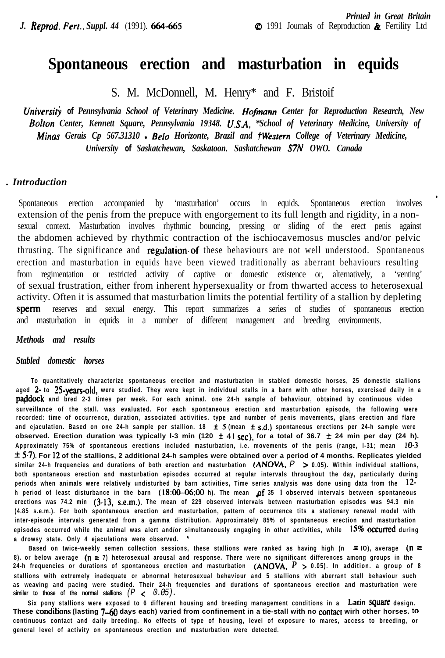# **Spontaneous erection and masturbation in equids**

S. M. McDonnell, M. Henry\* and F. Bristoif

*Universij, of Pennsylvania School of Veterinary Medicine. Hojinann Center for Reproduction Research, New Bolton Center, Kennett Square, Pennsylvania 19348. U.SA, \*School of Veterinary Medicine, University of Minas Gerais Cp 567.31310 - Belo Horizonte, Brazil and tWestern College of Veterinary Medicine, University of Saskatchewan, Saskatoon. Saskatchewan S7N OWO. Canada*

#### *. Introduction*

Spontaneous erection accompanied by 'masturbation' occurs in equids. Spontaneous erection involves extension of the penis from the prepuce with engorgement to its full length and rigidity, in a nonsexual context. Masturbation involves rhythmic bouncing, pressing or sliding of the erect penis against the abdomen achieved by rhythmic contraction of the ischiocavemosus muscles and/or pelvic thrusting. The significance and regulation of these behaviours are not well understood. Spontaneous erection and masturbation in equids have been viewed traditionally as aberrant behaviours resulting from regimentation or restricted activity of captive or domestic existence or, alternatively, a 'venting' of sexual frustration, either from inherent hypersexuality or from thwarted access to heterosexual activity. Often it is assumed that masturbation limits the potential fertility of a stallion by depleting *sperm* reserves and sexual energy. This report summarizes a series of studies of spontaneous erection and masturbation in equids in a number of different management and breeding environments.

### *Methods and results*

#### *Stabled domestic horses*

**To quantitatively characterize spontaneous erection and masturbation in stabled domestic horses, 25 domestic stallions aged 2- to 25-years-old. were studied. They were kept in individual stalls in a barn with other horses, exercised daily in a paddock** and bred 2-3 times per week. For each animal. one 24-h sample of behaviour, obtained by continuous video **surveillance of the stall. was evaluated. For each spontaneous erection and masturbation episode, the following were recorded: time of occurrence, duration, associated activities. type and number of penis movements, glans erection and flare and ejaculation. Based on one 24-h sample per stallion. 18 f 5 (mean f s.d.) spontaneous erections per 24-h sample were observed. Erection duration was typically 1-3 min (120**  $\pm$  **41 sec), for a total of 36.7**  $\pm$  **24 min per day (24 h). Approximately 75% of spontaneous erections included masturbation, i.e. movements of the penis (range, l-31; mean IO.3 f 5.7). For I2 of the stallions, 2 additional 24-h samples were obtained over a period of 4 months. Replicates yielded similar 24-h frequencies and durations of both erection and masturbation (ANOVA,** *P* **> 0.05). Within individual stallions, both spontaneous erection and masturbation episodes occurred at regular intervals throughout the day, particularly during periods when animals were relatively undisturbed by barn activities, Time series analysis was done using data from the l2 h period of least disturbance in the barn (18:00-06:00 h). The mean pf 35 I observed intervals between spontaneous erections was 74.2 min (3.13, s.e.m.). The mean of 229 observed intervals between masturbation episodes was 94.3 min (4.85 s.e.m.). For both spontaneous erection and masturbation, pattern of occurrence tits a stationary renewal model with inter-episode intervals generated from a gamma distribution. Approximately 85% of spontaneous erection and masturbation episodes occurred while the animal was alert and/or simultaneously engaging in other activities, while 15% occurred during a drowsy state. Only 4 ejaculations were observed. \***

**Based on twice-weekly semen collection sessions, these stallions were ranked as having high (n = IO), average (n = 8). or below average (n = 7) heterosexual arousal and response. There were no significant differences among groups in the 24-h frequencies or durations of spontaneous erection and masturbation (ANOVA,** *P* **> 0.05). In addition. a group of 8 stallions with extremely inadequate or abnormal heterosexual behaviour and 5 stallions with aberrant stall behaviour such as weaving and pacing were studied. Their 24-h frequencies and durations of spontaneous erection and masturbation were similar to those of the normal stallions** *(P < 0.05).*

**Six pony stallions were exposed to 6 different housing and breeding management conditions in a Latin square design. These condilions (lasting 7-60 days each) varied from confinement in a tie-stall with no contact wirh other horses. fo continuous contact and daily breeding. No effects of type of housing, level of exposure to mares, access to breeding, or general level of activity on spontaneous erection and masturbation were detected.**